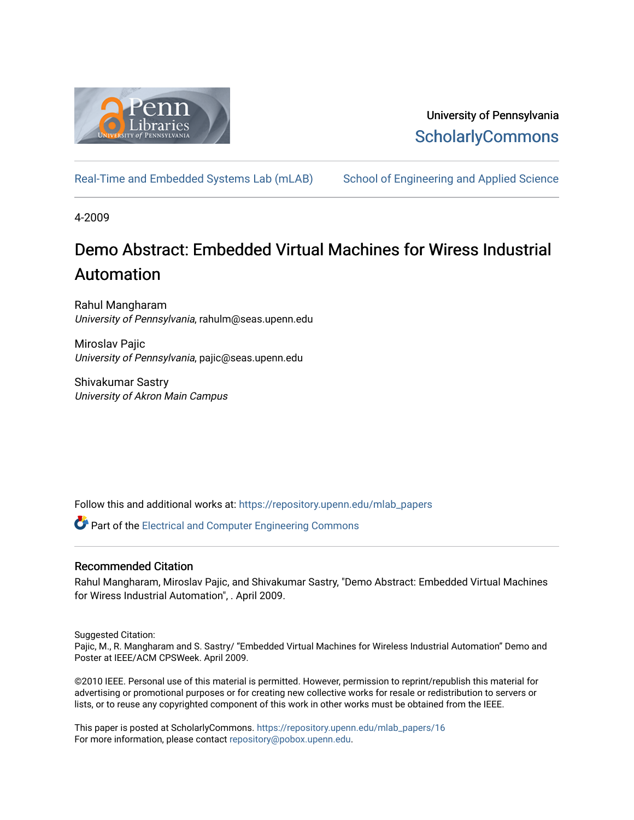

## University of Pennsylvania **ScholarlyCommons**

[Real-Time and Embedded Systems Lab \(mLAB\)](https://repository.upenn.edu/mlab_papers) School of Engineering and Applied Science

4-2009

# Demo Abstract: Embedded Virtual Machines for Wiress Industrial Automation

Rahul Mangharam University of Pennsylvania, rahulm@seas.upenn.edu

Miroslav Paiic University of Pennsylvania, pajic@seas.upenn.edu

Shivakumar Sastry University of Akron Main Campus

Follow this and additional works at: [https://repository.upenn.edu/mlab\\_papers](https://repository.upenn.edu/mlab_papers?utm_source=repository.upenn.edu%2Fmlab_papers%2F16&utm_medium=PDF&utm_campaign=PDFCoverPages) 

Part of the [Electrical and Computer Engineering Commons](http://network.bepress.com/hgg/discipline/266?utm_source=repository.upenn.edu%2Fmlab_papers%2F16&utm_medium=PDF&utm_campaign=PDFCoverPages) 

## Recommended Citation

Rahul Mangharam, Miroslav Pajic, and Shivakumar Sastry, "Demo Abstract: Embedded Virtual Machines for Wiress Industrial Automation", . April 2009.

Suggested Citation:

Pajic, M., R. Mangharam and S. Sastry/ "Embedded Virtual Machines for Wireless Industrial Automation" Demo and Poster at IEEE/ACM CPSWeek. April 2009.

©2010 IEEE. Personal use of this material is permitted. However, permission to reprint/republish this material for advertising or promotional purposes or for creating new collective works for resale or redistribution to servers or lists, or to reuse any copyrighted component of this work in other works must be obtained from the IEEE.

This paper is posted at ScholarlyCommons. [https://repository.upenn.edu/mlab\\_papers/16](https://repository.upenn.edu/mlab_papers/16) For more information, please contact [repository@pobox.upenn.edu.](mailto:repository@pobox.upenn.edu)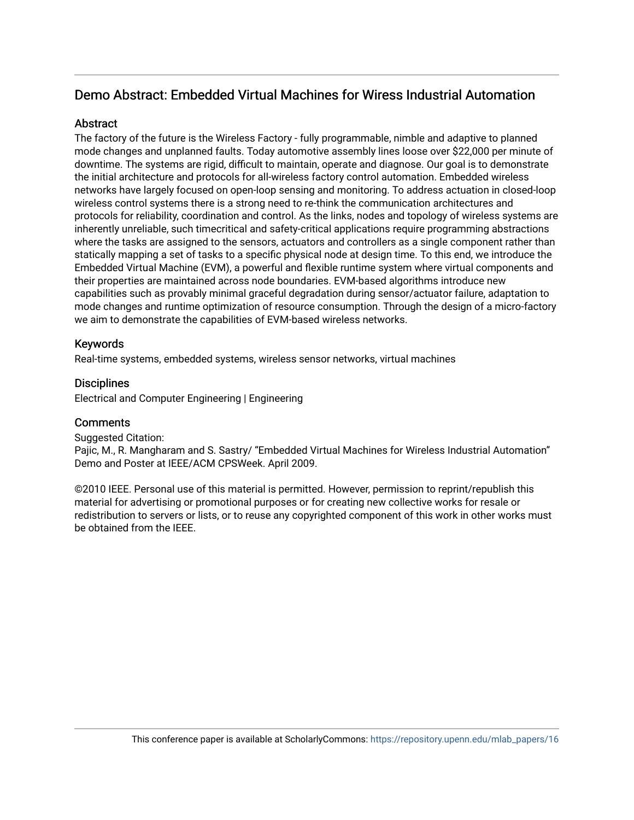## Demo Abstract: Embedded Virtual Machines for Wiress Industrial Automation

## Abstract

The factory of the future is the Wireless Factory - fully programmable, nimble and adaptive to planned mode changes and unplanned faults. Today automotive assembly lines loose over \$22,000 per minute of downtime. The systems are rigid, difficult to maintain, operate and diagnose. Our goal is to demonstrate the initial architecture and protocols for all-wireless factory control automation. Embedded wireless networks have largely focused on open-loop sensing and monitoring. To address actuation in closed-loop wireless control systems there is a strong need to re-think the communication architectures and protocols for reliability, coordination and control. As the links, nodes and topology of wireless systems are inherently unreliable, such timecritical and safety-critical applications require programming abstractions where the tasks are assigned to the sensors, actuators and controllers as a single component rather than statically mapping a set of tasks to a specific physical node at design time. To this end, we introduce the Embedded Virtual Machine (EVM), a powerful and flexible runtime system where virtual components and their properties are maintained across node boundaries. EVM-based algorithms introduce new capabilities such as provably minimal graceful degradation during sensor/actuator failure, adaptation to mode changes and runtime optimization of resource consumption. Through the design of a micro-factory we aim to demonstrate the capabilities of EVM-based wireless networks.

## Keywords

Real-time systems, embedded systems, wireless sensor networks, virtual machines

### **Disciplines**

Electrical and Computer Engineering | Engineering

### **Comments**

### Suggested Citation:

Pajic, M., R. Mangharam and S. Sastry/ "Embedded Virtual Machines for Wireless Industrial Automation" Demo and Poster at IEEE/ACM CPSWeek. April 2009.

©2010 IEEE. Personal use of this material is permitted. However, permission to reprint/republish this material for advertising or promotional purposes or for creating new collective works for resale or redistribution to servers or lists, or to reuse any copyrighted component of this work in other works must be obtained from the IEEE.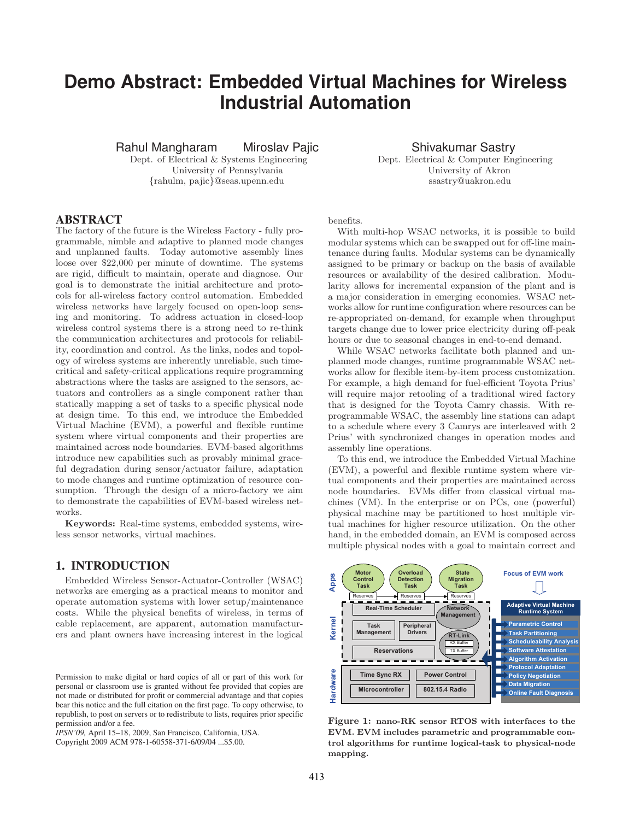## **Demo Abstract: Embedded Virtual Machines for Wireless Industrial Automation**

. University of Pennsylvania University of Akron . {rahulm, pajic}@seas.upenn.edu ssastry@uakron.edu

Rahul Mangharam Miroslav Pajic **Shivakumar Sastry . Dept.** of Electrical & Systems Engineering Dept. Electrical & Computer Engineering

#### ABSTRACT

The factory of the future is the Wireless Factory - fully programmable, nimble and adaptive to planned mode changes and unplanned faults. Today automotive assembly lines loose over \$22,000 per minute of downtime. The systems are rigid, difficult to maintain, operate and diagnose. Our goal is to demonstrate the initial architecture and protocols for all-wireless factory control automation. Embedded wireless networks have largely focused on open-loop sensing and monitoring. To address actuation in closed-loop wireless control systems there is a strong need to re-think the communication architectures and protocols for reliability, coordination and control. As the links, nodes and topology of wireless systems are inherently unreliable, such timecritical and safety-critical applications require programming abstractions where the tasks are assigned to the sensors, actuators and controllers as a single component rather than statically mapping a set of tasks to a specific physical node at design time. To this end, we introduce the Embedded Virtual Machine (EVM), a powerful and flexible runtime system where virtual components and their properties are maintained across node boundaries. EVM-based algorithms introduce new capabilities such as provably minimal graceful degradation during sensor/actuator failure, adaptation to mode changes and runtime optimization of resource consumption. Through the design of a micro-factory we aim to demonstrate the capabilities of EVM-based wireless networks.

**Keywords:** Real-time systems, embedded systems, wireless sensor networks, virtual machines.

#### 1. INTRODUCTION

Embedded Wireless Sensor-Actuator-Controller (WSAC) networks are emerging as a practical means to monitor and operate automation systems with lower setup/maintenance costs. While the physical benefits of wireless, in terms of cable replacement, are apparent, automation manufacturers and plant owners have increasing interest in the logical

*IPSN'09,* April 15–18, 2009, San Francisco, California, USA.

Copyright 2009 ACM 978-1-60558-371-6/09/04 ...\$5.00.

benefits.

With multi-hop WSAC networks, it is possible to build modular systems which can be swapped out for off-line maintenance during faults. Modular systems can be dynamically assigned to be primary or backup on the basis of available resources or availability of the desired calibration. Modularity allows for incremental expansion of the plant and is a major consideration in emerging economies. WSAC networks allow for runtime configuration where resources can be re-appropriated on-demand, for example when throughput targets change due to lower price electricity during off-peak hours or due to seasonal changes in end-to-end demand.

While WSAC networks facilitate both planned and unplanned mode changes, runtime programmable WSAC networks allow for flexible item-by-item process customization. For example, a high demand for fuel-efficient Toyota Prius' will require major retooling of a traditional wired factory that is designed for the Toyota Camry chassis. With reprogrammable WSAC, the assembly line stations can adapt to a schedule where every 3 Camrys are interleaved with 2 Prius' with synchronized changes in operation modes and assembly line operations.

To this end, we introduce the Embedded Virtual Machine (EVM), a powerful and flexible runtime system where virtual components and their properties are maintained across node boundaries. EVMs differ from classical virtual machines (VM). In the enterprise or on PCs, one (powerful) physical machine may be partitioned to host multiple virtual machines for higher resource utilization. On the other hand, in the embedded domain, an EVM is composed across multiple physical nodes with a goal to maintain correct and



**Figure 1: nano-RK sensor RTOS with interfaces to the EVM. EVM includes parametric and programmable control algorithms for runtime logical-task to physical-node mapping.**

Permission to make digital or hard copies of all or part of this work for personal or classroom use is granted without fee provided that copies are not made or distributed for profit or commercial advantage and that copies bear this notice and the full citation on the first page. To copy otherwise, to republish, to post on servers or to redistribute to lists, requires prior specific permission and/or a fee.